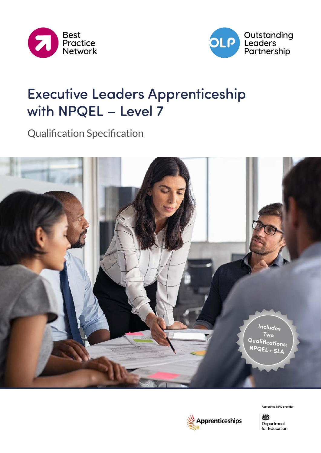



# Executive Leaders Apprenticeship with NPQEL – Level 7

Qualification Specification





Accredited NPQ provider

燃 Department for Education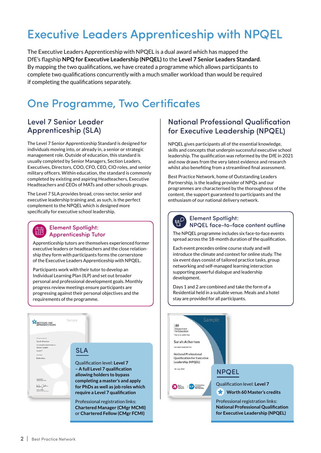# Executive Leaders Apprenticeship with NPQEL

The Executive Leaders Apprenticeship with NPQEL is a dual award which has mapped the DfE's flagship **NPQ for Executive Leadership (NPQEL)** to the **Level 7 Senior Leaders Standard**. By mapping the two qualifications, we have created a programme which allows participants to complete two qualifications concurrently with a much smaller workload than would be required if completing the qualifications separately.

# One Programme, Two Certificates

#### Level 7 Senior Leader Apprenticeship (SLA)

The Level 7 Senior Apprenticeship Standard is designed for individuals moving into, or already in, a senior or strategic management role. Outside of education, this standard is usually completed by Senior Managers, Section Leaders, Executives, Directors, COO, CFO, CEO, CIO roles, and senior military officers. Within education, the standard is commonly completed by existing and aspiring Headteachers, Executive Headteachers and CEOs of MATs and other schools groups.

The Level 7 SLA provides broad, cross-sector, senior and executive leadership training and, as such, is the perfect complement to the NPQEL which is designed more specifically for executive school leadership.

#### Element Spotlight: Apprenticeship Tutor

Apprenticeship tutors are themselves experienced former executive leaders or headteachers and the close relationship they form with participants forms the cornerstone of the Executive Leaders Apprenticeship with NPQEL.

Participants work with their tutor to develop an Individual Learning Plan (ILP) and set out broader personal and professional development goals. Monthly progress review meetings ensure participants are progressing against their personal objectives and the requirements of the programme.



#### National Professional Qualification for Executive Leadership (NPQEL)

NPQEL gives participants all of the essential knowledge, skills and concepts that underpin successful executive school leadership. The qualification was reformed by the DfE in 2021 and now draws from the very latest evidence and research whilst also benefiting from a streamlined final assessment.

Best Practice Network, home of Outstanding Leaders Partnership, is the leading provider of NPQs and our programmes are characterised by the thoroughness of the content, the support guaranteed to participants and the enthusiasm of our national delivery network.



#### Element Spotlight: NPQEL face-to-face content outline

The NPQEL programme includes six face-to-face events spread across the 18-month duration of the qualification.

Each event precedes online course study and will introduce the climate and context for online study. The six event days consist of tailored practice tasks, group networking and self-managed learning interaction supporting powerful dialogue and leadership development.

Days 1 and 2 are combined and take the form of a Residential held in a suitable venue. Meals and a hotel stay are provided for all participants.

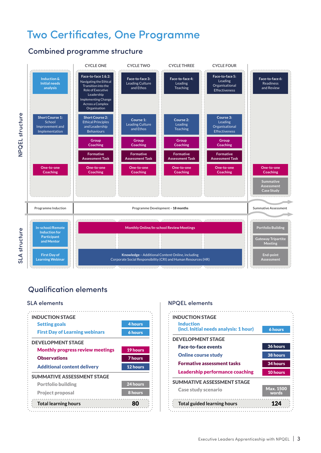## Two Certificates, One Programme

#### Combined programme structure



#### Qualification elements



#### SLA elements and the state of the NPQEL elements